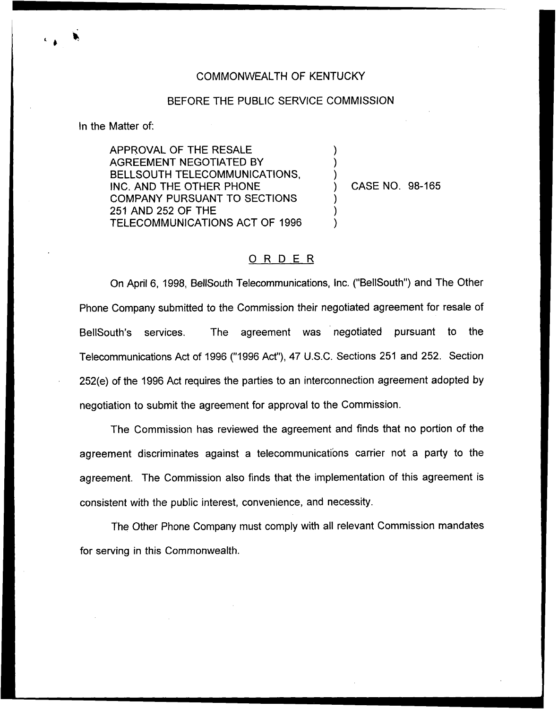## COMMONWEALTH OF KENTUCKY

## BEFORE THE PUBLIC SERVICE COMMISSION

) ) )

) ) )

In the Matter of:

APPROVAL OF THE RESALE AGREEMENT NEGOTIATED BY BELLSOUTH TELECOMMUNICATIONS, INC. AND THE OTHER PHONE COMPANY PURSUANT TO SECTIONS 251 AND 252 OF THE TELECOMMUNICATIONS ACT OF 1996

) CASE NO. 98-165

## ORDER

On April 6, 1998, BellSouth Telecommunications, Inc. ("BellSouth") and The Other Phone Company submitted to the Commission their negotiated agreement for resale of BellSouth's services. The agreement was negotiated pursuant to the Telecommunications Act of 1996 ("1996 Act"), 47 U.S.C. Sections 251 and 252. Section 252(e) of the 1996 Act requires the parties to an interconnection agreement adopted by negotiation to submit the agreement for approval to the Commission.

The Commission has reviewed the agreement and finds that no portion of the agreement discriminates against a telecommunications carrier not a party to the agreement. The Commission also finds that the implementation of this agreement is consistent with the public interest, convenience, and necessity.

The Other Phone Company must comply with all relevant Commission mandates for serving in this Commonwealth.